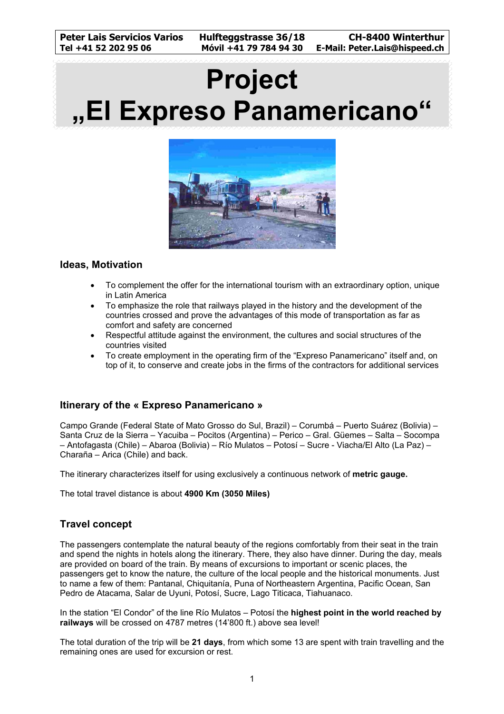# **Project "El Expreso Panamericano"**



## **Ideas, Motivation**

- To complement the offer for the international tourism with an extraordinary option, unique in Latin America
- To emphasize the role that railways played in the history and the development of the countries crossed and prove the advantages of this mode of transportation as far as comfort and safety are concerned
- Respectful attitude against the environment, the cultures and social structures of the countries visited
- To create employment in the operating firm of the "Expreso Panamericano" itself and, on top of it, to conserve and create jobs in the firms of the contractors for additional services

## **Itinerary of the « Expreso Panamericano »**

Campo Grande (Federal State of Mato Grosso do Sul, Brazil) – Corumbá – Puerto Suárez (Bolivia) – Santa Cruz de la Sierra – Yacuiba – Pocitos (Argentina) – Perico – Gral. Güemes – Salta – Socompa – Antofagasta (Chile) – Abaroa (Bolivia) – Río Mulatos – Potosí – Sucre - Viacha/El Alto (La Paz) – Charaña – Arica (Chile) and back.

The itinerary characterizes itself for using exclusively a continuous network of **metric gauge.**

The total travel distance is about **4900 Km (3050 Miles)** 

## **Travel concept**

The passengers contemplate the natural beauty of the regions comfortably from their seat in the train and spend the nights in hotels along the itinerary. There, they also have dinner. During the day, meals are provided on board of the train. By means of excursions to important or scenic places, the passengers get to know the nature, the culture of the local people and the historical monuments. Just to name a few of them: Pantanal, Chiquitanía, Puna of Northeastern Argentina, Pacific Ocean, San Pedro de Atacama, Salar de Uyuni, Potosí, Sucre, Lago Titicaca, Tiahuanaco.

In the station "El Condor" of the line Río Mulatos – Potosí the **highest point in the world reached by railways** will be crossed on 4787 metres (14'800 ft.) above sea level!

The total duration of the trip will be **21 days**, from which some 13 are spent with train travelling and the remaining ones are used for excursion or rest.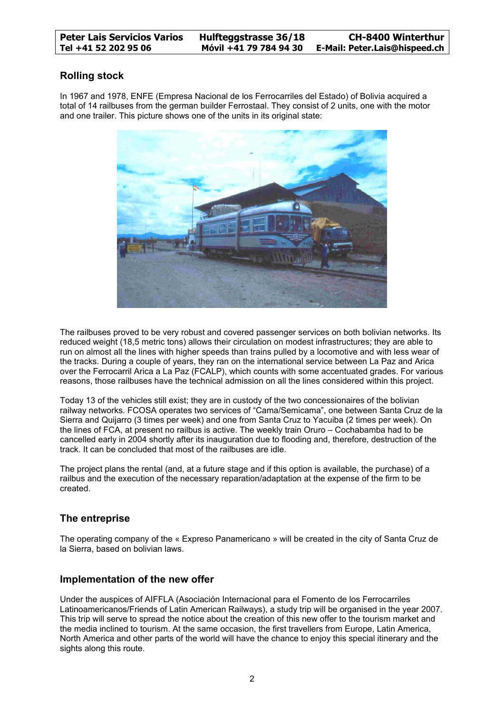## **Rolling stock**

In 1967 and 1978, ENFE (Empresa Nacional de los Ferrocarriles del Estado) of Bolivia acquired a total of 14 railbuses from the german builder Ferrostaal. They consist of 2 units, one with the motor and one trailer. This picture shows one of the units in its original state:



The railbuses proved to be very robust and covered passenger services on both bolivian networks. Its reduced weight (18,5 metric tons) allows their circulation on modest infrastructures; they are able to run on almost all the lines with higher speeds than trains pulled by a locomotive and with less wear of the tracks. During a couple of years, they ran on the international service between La Paz and Arica over the Ferrocarril Arica a La Paz (FCALP), which counts with some accentuated grades. For various reasons, those railbuses have the technical admission on all the lines considered within this project.

Today 13 of the vehicles still exist; they are in custody of the two concessionaires of the bolivian railway networks. FCOSA operates two services of "Cama/Semicama", one between Santa Cruz de la Sierra and Quijarro (3 times per week) and one from Santa Cruz to Yacuiba (2 times per week). On the lines of FCA, at present no railbus is active. The weekly train Oruro – Cochabamba had to be cancelled early in 2004 shortly after its inauguration due to flooding and, therefore, destruction of the track. It can be concluded that most of the railbuses are idle.

The project plans the rental (and, at a future stage and if this option is available, the purchase) of a railbus and the execution of the necessary reparation/adaptation at the expense of the firm to be created.

## **The entreprise**

The operating company of the « Expreso Panamericano » will be created in the city of Santa Cruz de la Sierra, based on bolivian laws.

## **Implementation of the new offer**

Under the auspices of AIFFLA (Asociación Internacional para el Fomento de los Ferrocarriles Latinoamericanos/Friends of Latin American Railways), a study trip will be organised in the year 2007. This trip will serve to spread the notice about the creation of this new offer to the tourism market and the media inclined to tourism. At the same occasion, the first travellers from Europe, Latin America, North America and other parts of the world will have the chance to enjoy this special itinerary and the sights along this route.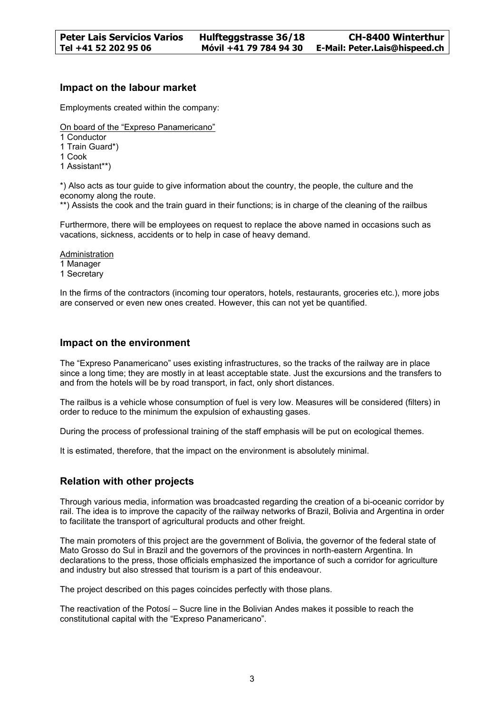#### **Impact on the labour market**

Employments created within the company:

On board of the "Expreso Panamericano"

- 1 Conductor
- 1 Train Guard\*)
- 1 Cook
- 1 Assistant\*\*)

\*) Also acts as tour guide to give information about the country, the people, the culture and the economy along the route.

\*\*) Assists the cook and the train guard in their functions; is in charge of the cleaning of the railbus

Furthermore, there will be employees on request to replace the above named in occasions such as vacations, sickness, accidents or to help in case of heavy demand.

Administration 1 Manager 1 Secretary

In the firms of the contractors (incoming tour operators, hotels, restaurants, groceries etc.), more jobs are conserved or even new ones created. However, this can not yet be quantified.

#### **Impact on the environment**

The "Expreso Panamericano" uses existing infrastructures, so the tracks of the railway are in place since a long time; they are mostly in at least acceptable state. Just the excursions and the transfers to and from the hotels will be by road transport, in fact, only short distances.

The railbus is a vehicle whose consumption of fuel is very low. Measures will be considered (filters) in order to reduce to the minimum the expulsion of exhausting gases.

During the process of professional training of the staff emphasis will be put on ecological themes.

It is estimated, therefore, that the impact on the environment is absolutely minimal.

## **Relation with other projects**

Through various media, information was broadcasted regarding the creation of a bi-oceanic corridor by rail. The idea is to improve the capacity of the railway networks of Brazil, Bolivia and Argentina in order to facilitate the transport of agricultural products and other freight.

The main promoters of this project are the government of Bolivia, the governor of the federal state of Mato Grosso do Sul in Brazil and the governors of the provinces in north-eastern Argentina. In declarations to the press, those officials emphasized the importance of such a corridor for agriculture and industry but also stressed that tourism is a part of this endeavour.

The project described on this pages coincides perfectly with those plans.

The reactivation of the Potosí – Sucre line in the Bolivian Andes makes it possible to reach the constitutional capital with the "Expreso Panamericano".